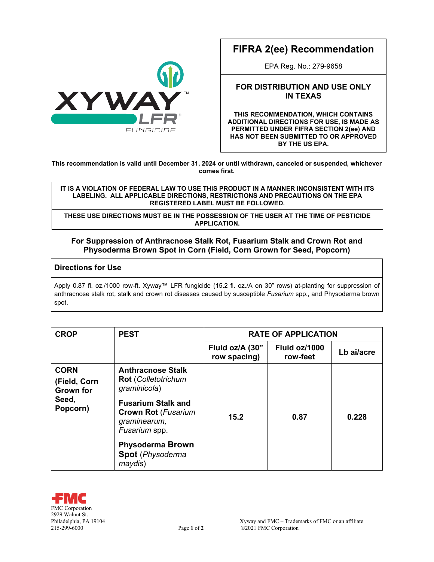

# **FIFRA 2(ee) Recommendation**

EPA Reg. No.: 279-9658

## **FOR DISTRIBUTION AND USE ONLY IN TEXAS**

**THIS RECOMMENDATION, WHICH CONTAINS ADDITIONAL DIRECTIONS FOR USE, IS MADE AS PERMITTED UNDER FIFRA SECTION 2(ee) AND HAS NOT BEEN SUBMITTED TO OR APPROVED BY THE US EPA.**

**This recommendation is valid until December 31, 2024 or until withdrawn, canceled or suspended, whichever comes first.**

#### **IT IS A VIOLATION OF FEDERAL LAW TO USE THIS PRODUCT IN A MANNER INCONSISTENT WITH ITS LABELING. ALL APPLICABLE DIRECTIONS, RESTRICTIONS AND PRECAUTIONS ON THE EPA REGISTERED LABEL MUST BE FOLLOWED.**

**THESE USE DIRECTIONS MUST BE IN THE POSSESSION OF THE USER AT THE TIME OF PESTICIDE APPLICATION.**

## **For Suppression of Anthracnose Stalk Rot, Fusarium Stalk and Crown Rot and Physoderma Brown Spot in Corn (Field, Corn Grown for Seed, Popcorn)**

## **Directions for Use**

Apply 0.87 fl. oz./1000 row-ft. Xyway™ LFR fungicide (15.2 fl. oz./A on 30" rows) at-planting for suppression of anthracnose stalk rot, stalk and crown rot diseases caused by susceptible *Fusarium* spp., and Physoderma brown spot.

| <b>CROP</b>                                                          | <b>PEST</b>                                                                                                                                                                                                                         | <b>RATE OF APPLICATION</b>      |                           |            |
|----------------------------------------------------------------------|-------------------------------------------------------------------------------------------------------------------------------------------------------------------------------------------------------------------------------------|---------------------------------|---------------------------|------------|
|                                                                      |                                                                                                                                                                                                                                     | Fluid oz/A (30"<br>row spacing) | Fluid oz/1000<br>row-feet | Lb ai/acre |
| <b>CORN</b><br>(Field, Corn<br><b>Grown for</b><br>Seed,<br>Popcorn) | <b>Anthracnose Stalk</b><br><b>Rot</b> (Colletotrichum<br>graminicola)<br><b>Fusarium Stalk and</b><br><b>Crown Rot (Fusarium</b><br>graminearum,<br>Fusarium spp.<br><b>Physoderma Brown</b><br><b>Spot</b> (Physoderma<br>maydis) | 15.2                            | 0.87                      | 0.228      |